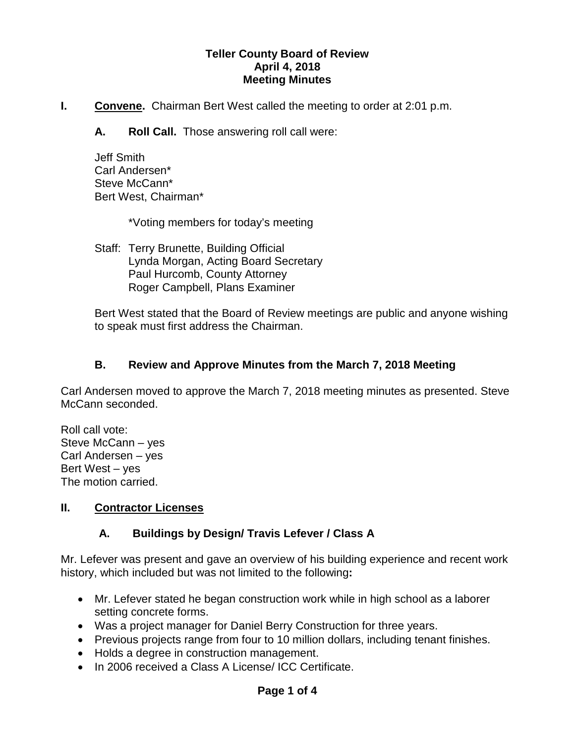### **Teller County Board of Review April 4, 2018 Meeting Minutes**

- **I.** Convene. Chairman Bert West called the meeting to order at 2:01 p.m.
	- **A. Roll Call.** Those answering roll call were:

Jeff Smith Carl Andersen\* Steve McCann\* Bert West, Chairman\*

\*Voting members for today's meeting

Staff: Terry Brunette, Building Official Lynda Morgan, Acting Board Secretary Paul Hurcomb, County Attorney Roger Campbell, Plans Examiner

Bert West stated that the Board of Review meetings are public and anyone wishing to speak must first address the Chairman.

### **B. Review and Approve Minutes from the March 7, 2018 Meeting**

Carl Andersen moved to approve the March 7, 2018 meeting minutes as presented. Steve McCann seconded.

Roll call vote: Steve McCann – yes Carl Andersen – yes Bert West – yes The motion carried.

#### **II. Contractor Licenses**

## **A. Buildings by Design/ Travis Lefever / Class A**

Mr. Lefever was present and gave an overview of his building experience and recent work history, which included but was not limited to the following**:**

- Mr. Lefever stated he began construction work while in high school as a laborer setting concrete forms.
- Was a project manager for Daniel Berry Construction for three years.
- Previous projects range from four to 10 million dollars, including tenant finishes.
- Holds a degree in construction management.
- In 2006 received a Class A License/ ICC Certificate.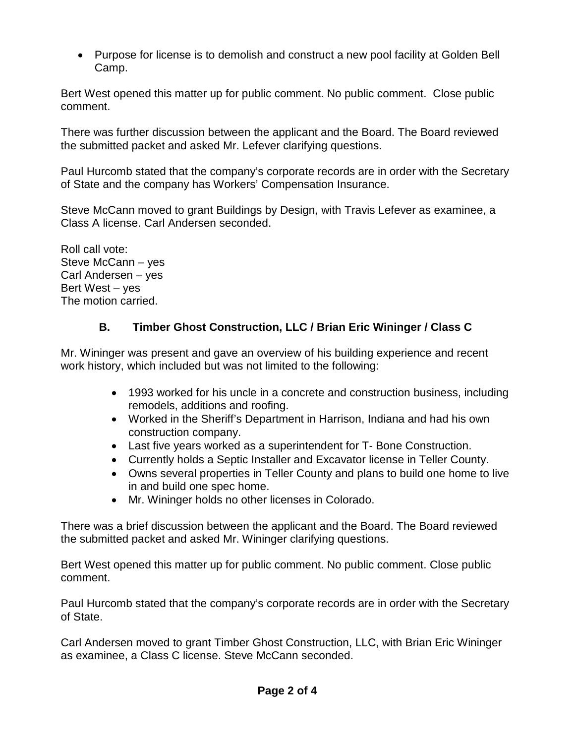• Purpose for license is to demolish and construct a new pool facility at Golden Bell Camp.

Bert West opened this matter up for public comment. No public comment. Close public comment.

There was further discussion between the applicant and the Board. The Board reviewed the submitted packet and asked Mr. Lefever clarifying questions.

Paul Hurcomb stated that the company's corporate records are in order with the Secretary of State and the company has Workers' Compensation Insurance.

Steve McCann moved to grant Buildings by Design, with Travis Lefever as examinee, a Class A license. Carl Andersen seconded.

Roll call vote: Steve McCann – yes Carl Andersen – yes Bert West – yes The motion carried.

# **B. Timber Ghost Construction, LLC / Brian Eric Wininger / Class C**

Mr. Wininger was present and gave an overview of his building experience and recent work history, which included but was not limited to the following:

- 1993 worked for his uncle in a concrete and construction business, including remodels, additions and roofing.
- Worked in the Sheriff's Department in Harrison, Indiana and had his own construction company.
- Last five years worked as a superintendent for T- Bone Construction.
- Currently holds a Septic Installer and Excavator license in Teller County.
- Owns several properties in Teller County and plans to build one home to live in and build one spec home.
- Mr. Wininger holds no other licenses in Colorado.

There was a brief discussion between the applicant and the Board. The Board reviewed the submitted packet and asked Mr. Wininger clarifying questions.

Bert West opened this matter up for public comment. No public comment. Close public comment.

Paul Hurcomb stated that the company's corporate records are in order with the Secretary of State.

Carl Andersen moved to grant Timber Ghost Construction, LLC, with Brian Eric Wininger as examinee, a Class C license. Steve McCann seconded.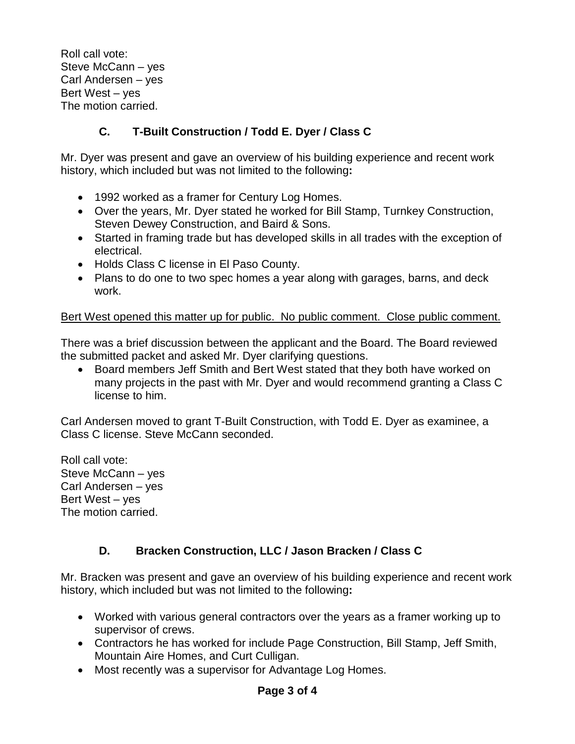Roll call vote: Steve McCann – yes Carl Andersen – yes Bert West – yes The motion carried.

## **C. T-Built Construction / Todd E. Dyer / Class C**

Mr. Dyer was present and gave an overview of his building experience and recent work history, which included but was not limited to the following**:**

- 1992 worked as a framer for Century Log Homes.
- Over the years, Mr. Dyer stated he worked for Bill Stamp, Turnkey Construction, Steven Dewey Construction, and Baird & Sons.
- Started in framing trade but has developed skills in all trades with the exception of electrical.
- Holds Class C license in El Paso County.
- Plans to do one to two spec homes a year along with garages, barns, and deck work.

## Bert West opened this matter up for public. No public comment. Close public comment.

There was a brief discussion between the applicant and the Board. The Board reviewed the submitted packet and asked Mr. Dyer clarifying questions.

• Board members Jeff Smith and Bert West stated that they both have worked on many projects in the past with Mr. Dyer and would recommend granting a Class C license to him.

Carl Andersen moved to grant T-Built Construction, with Todd E. Dyer as examinee, a Class C license. Steve McCann seconded.

Roll call vote: Steve McCann – yes Carl Andersen – yes Bert West – yes The motion carried.

## **D. Bracken Construction, LLC / Jason Bracken / Class C**

Mr. Bracken was present and gave an overview of his building experience and recent work history, which included but was not limited to the following**:**

- Worked with various general contractors over the years as a framer working up to supervisor of crews.
- Contractors he has worked for include Page Construction, Bill Stamp, Jeff Smith, Mountain Aire Homes, and Curt Culligan.
- Most recently was a supervisor for Advantage Log Homes.

## **Page 3 of 4**